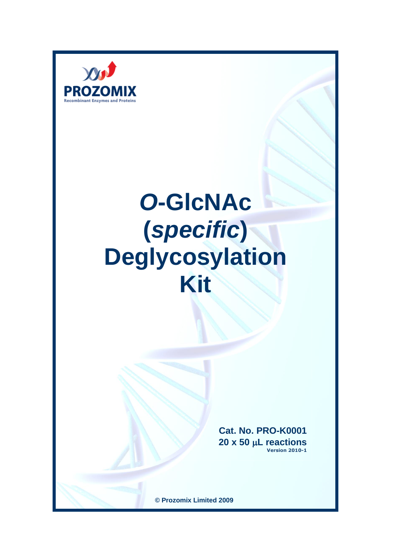

# *O***-GlcNAc (***specific***) Deglycosylation Kit**

**Cat. No. PRO-K0001 20 x 50 L reactions Version 2010-1**

**© Prozomix Limited 2009**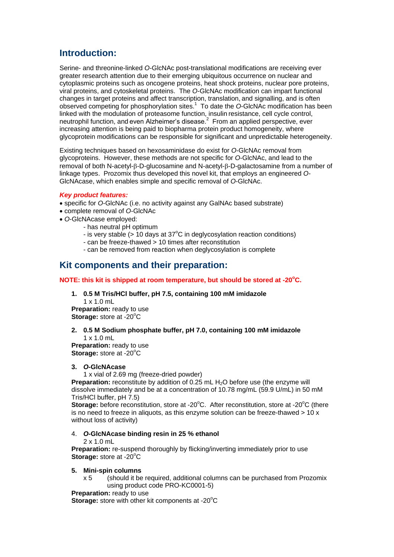# **Introduction:**

Serine- and threonine-linked *O*-GlcNAc post-translational modifications are receiving ever greater research attention due to their emerging ubiquitous occurrence on nuclear and cytoplasmic proteins such as oncogene proteins, heat shock proteins, nuclear pore proteins, viral proteins, and cytoskeletal proteins. The *O*-GlcNAc modification can impart functional changes in target proteins and affect transcription, translation, and signalling, and is often observed competing for phosphorylation sites.<sup>1</sup> To date the *O*-GlcNAc modification has been linked with the modulation of proteasome function, insulin resistance, cell cycle control, neutrophil function, and even Alzheimer's disease.<sup>2</sup> From an applied perspective, ever increasing attention is being paid to biopharma protein product homogeneity, where glycoprotein modifications can be responsible for significant and unpredictable heterogeneity.

Existing techniques based on hexosaminidase do exist for *O*-GlcNAc removal from glycoproteins. However, these methods are not specific for *O*-GlcNAc, and lead to the removal of both N-acetyl-β-D-glucosamine and N-acetyl-β-D-galactosamine from a number of linkage types. Prozomix thus developed this novel kit, that employs an engineered *O*-GlcNAcase, which enables simple and specific removal of *O*-GlcNAc.

#### *Key product features:*

- specific for *O*-GlcNAc (i.e. no activity against any GalNAc based substrate)
- complete removal of *O*-GlcNAc
- *O*-GlcNAcase employed:
	- has neutral pH optimum
	- is very stable ( $> 10$  days at  $37^{\circ}$ C in deglycosylation reaction conditions)
	- can be freeze-thawed > 10 times after reconstitution
	- can be removed from reaction when deglycosylation is complete

# **Kit components and their preparation:**

### **NOTE: this kit is shipped at room temperature, but should be stored at -20<sup>o</sup>C.**

# **1. 0.5 M Tris/HCl buffer, pH 7.5, containing 100 mM imidazole**

1 x 1.0 mL **Preparation:** ready to use **Storage:** store at -20°C

## **2. 0.5 M Sodium phosphate buffer, pH 7.0, containing 100 mM imidazole**  $1 \times 10$  mL

**Preparation:** ready to use **Storage:** store at -20<sup>°</sup>C

#### **3.** *O***-GlcNAcase**

1 x vial of 2.69 mg (freeze-dried powder)

**Preparation:** reconstitute by addition of 0.25 mL H<sub>2</sub>O before use (the enzyme will dissolve immediately and be at a concentration of 10.78 mg/mL (59.9 U/mL) in 50 mM Tris/HCl buffer, pH 7.5)

**Storage:** before reconstitution, store at -20°C. After reconstitution, store at -20°C (there is no need to freeze in aliquots, as this enzyme solution can be freeze-thawed  $> 10 x$ without loss of activity)

#### 4. *O***-GlcNAcase binding resin in 25 % ethanol**

#### 2 x 1.0 mL

**Preparation:** re-suspend thoroughly by flicking/inverting immediately prior to use **Storage:** store at -20<sup>°</sup>C

#### **5. Mini-spin columns**

x 5 (should it be required, additional columns can be purchased from Prozomix using product code PRO-KC0001-5)

**Preparation:** ready to use

**Storage:** store with other kit components at -20<sup>o</sup>C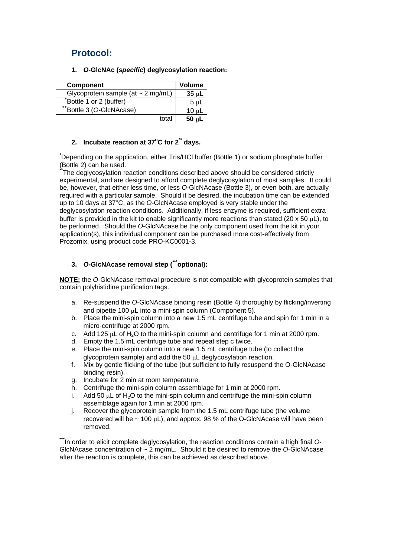# **Protocol:**

**1.** *O***-GlcNAc (***specific***) deglycosylation reaction:**

| Component                               | <b>Volume</b> |
|-----------------------------------------|---------------|
| Glycoprotein sample (at $\sim$ 2 mg/mL) | $35 \mu L$    |
| Bottle 1 or 2 (buffer)                  | $5 \mu L$     |
| "Bottle 3 (O-GlcNAcase)                 | $10 \mu L$    |
| total                                   | $50 \mu L$    |

# **2. Incubate reaction at 37<sup>o</sup>C for 2\*\* days.**

**\***Depending on the application, either Tris/HCl buffer (Bottle 1) or sodium phosphate buffer (Bottle 2) can be used.

**\*\***The deglycosylation reaction conditions described above should be considered strictly experimental, and are designed to afford complete deglycosylation of most samples. It could be, however, that either less time, or less *O*-GlcNAcase (Bottle 3), or even both, are actually required with a particular sample. Should it be desired, the incubation time can be extended up to 10 days at 37°C, as the O-GIcNAcase employed is very stable under the deglycosylation reaction conditions. Additionally, if less enzyme is required, sufficient extra buffer is provided in the kit to enable significantly more reactions than stated (20 x 50  $\mu$ L), to be performed. Should the *O*-GlcNAcase be the only component used from the kit in your application(s), this individual component can be purchased more cost-effectively from Prozomix, using product code PRO-KC0001-3.

# **3.** *O***-GlcNAcase removal step (\*\*\*optional):**

**NOTE:** the *O*-GlcNAcase removal procedure is not compatible with glycoprotein samples that contain polyhistidine purification tags.

- a. Re-suspend the *O*-GlcNAcase binding resin (Bottle 4) thoroughly by flicking/inverting and pipette 100  $\mu$ L into a mini-spin column (Component 5).
- b. Place the mini-spin column into a new 1.5 mL centrifuge tube and spin for 1 min in a micro-centrifuge at 2000 rpm.
- c. Add 125  $\mu$ L of H<sub>2</sub>O to the mini-spin column and centrifuge for 1 min at 2000 rpm.
- d. Empty the 1.5 mL centrifuge tube and repeat step c twice.
- e. Place the mini-spin column into a new 1.5 mL centrifuge tube (to collect the glycoprotein sample) and add the 50 µL deglycosylation reaction.
- f. Mix by gentle flicking of the tube (but sufficient to fully resuspend the O-GlcNAcase binding resin).
- g. Incubate for 2 min at room temperature.
- h. Centrifuge the mini-spin column assemblage for 1 min at 2000 rpm.
- i. Add 50  $\mu$ L of H<sub>2</sub>O to the mini-spin column and centrifuge the mini-spin column assemblage again for 1 min at 2000 rpm.
- j. Recover the glycoprotein sample from the 1.5 mL centrifuge tube (the volume recovered will be  $\sim$  100  $\mu$ L), and approx. 98 % of the O-GlcNAcase will have been removed.

**\*\*\***In order to elicit complete deglycosylation, the reaction conditions contain a high final *O*-GlcNAcase concentration of ~ 2 mg/mL. Should it be desired to remove the *O*-GlcNAcase after the reaction is complete, this can be achieved as described above.